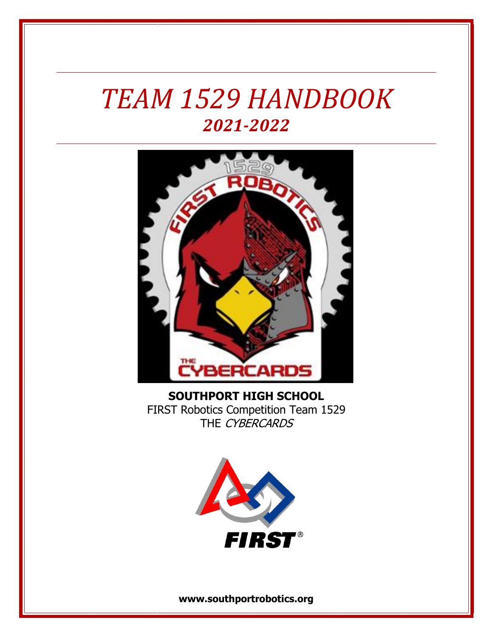# *TEAM 1529 HANDBOOK 2021-2022*



**SOUTHPORT HIGH SCHOOL** FIRST Robotics Competition Team 1529 THE CYBERCARDS



**www.southportrobotics.org**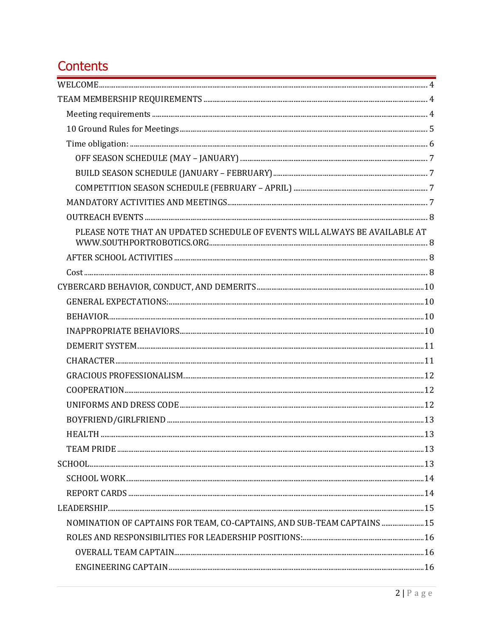## Contents

| PLEASE NOTE THAT AN UPDATED SCHEDULE OF EVENTS WILL ALWAYS BE AVAILABLE AT |  |
|----------------------------------------------------------------------------|--|
|                                                                            |  |
|                                                                            |  |
|                                                                            |  |
|                                                                            |  |
|                                                                            |  |
|                                                                            |  |
|                                                                            |  |
|                                                                            |  |
|                                                                            |  |
|                                                                            |  |
|                                                                            |  |
|                                                                            |  |
|                                                                            |  |
|                                                                            |  |
|                                                                            |  |
|                                                                            |  |
|                                                                            |  |
|                                                                            |  |
| NOMINATION OF CAPTAINS FOR TEAM, CO-CAPTAINS, AND SUB-TEAM CAPTAINS  15    |  |
|                                                                            |  |
|                                                                            |  |
|                                                                            |  |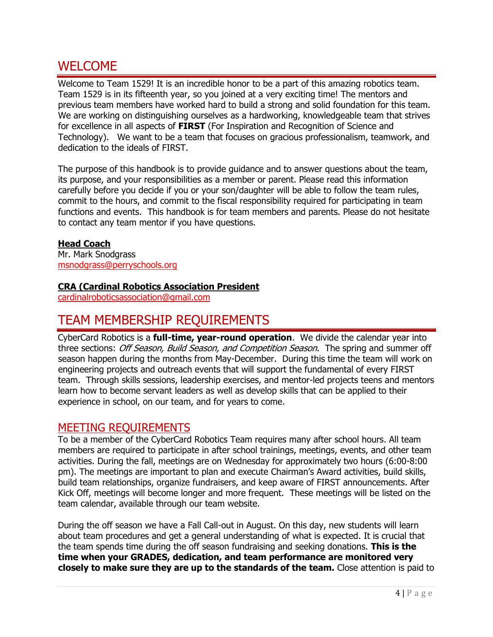## <span id="page-3-0"></span>WELCOME

Welcome to Team 1529! It is an incredible honor to be a part of this amazing robotics team. Team 1529 is in its fifteenth year, so you joined at a very exciting time! The mentors and previous team members have worked hard to build a strong and solid foundation for this team. We are working on distinguishing ourselves as a hardworking, knowledgeable team that strives for excellence in all aspects of **FIRST** (For Inspiration and Recognition of Science and Technology). We want to be a team that focuses on gracious professionalism, teamwork, and dedication to the ideals of FIRST.

The purpose of this handbook is to provide guidance and to answer questions about the team, its purpose, and your responsibilities as a member or parent. Please read this information carefully before you decide if you or your son/daughter will be able to follow the team rules, commit to the hours, and commit to the fiscal responsibility required for participating in team functions and events. This handbook is for team members and parents. Please do not hesitate to contact any team mentor if you have questions.

#### **Head Coach**

Mr. Mark Snodgrass msnodgrass@perryschools.org

#### **CRA (Cardinal Robotics Association President**

cardinalroboticsassociation@gmail.com

## <span id="page-3-1"></span>TEAM MEMBERSHIP REQUIREMENTS

CyberCard Robotics is a **full-time, year-round operation**. We divide the calendar year into three sections: Off Season, Build Season, and Competition Season. The spring and summer off season happen during the months from May-December. During this time the team will work on engineering projects and outreach events that will support the fundamental of every FIRST team. Through skills sessions, leadership exercises, and mentor-led projects teens and mentors learn how to become servant leaders as well as develop skills that can be applied to their experience in school, on our team, and for years to come.

#### <span id="page-3-2"></span>MEETING REQUIREMENTS

To be a member of the CyberCard Robotics Team requires many after school hours. All team members are required to participate in after school trainings, meetings, events, and other team activities. During the fall, meetings are on Wednesday for approximately two hours (6:00-8:00 pm). The meetings are important to plan and execute Chairman's Award activities, build skills, build team relationships, organize fundraisers, and keep aware of FIRST announcements. After Kick Off, meetings will become longer and more frequent. These meetings will be listed on the team calendar, available through our team website.

During the off season we have a Fall Call-out in August. On this day, new students will learn about team procedures and get a general understanding of what is expected. It is crucial that the team spends time during the off season fundraising and seeking donations. **This is the time when your GRADES, dedication, and team performance are monitored very closely to make sure they are up to the standards of the team.** Close attention is paid to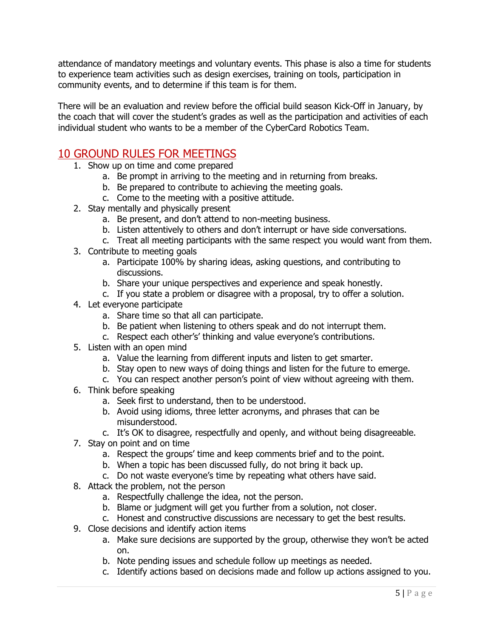attendance of mandatory meetings and voluntary events. This phase is also a time for students to experience team activities such as design exercises, training on tools, participation in community events, and to determine if this team is for them.

There will be an evaluation and review before the official build season Kick-Off in January, by the coach that will cover the student's grades as well as the participation and activities of each individual student who wants to be a member of the CyberCard Robotics Team.

## <span id="page-4-0"></span>10 GROUND RULES FOR MEETINGS

- 1. Show up on time and come prepared
	- a. Be prompt in arriving to the meeting and in returning from breaks.
	- b. Be prepared to contribute to achieving the meeting goals.
	- c. Come to the meeting with a positive attitude.
- 2. Stay mentally and physically present
	- a. Be present, and don't attend to non-meeting business.
	- b. Listen attentively to others and don't interrupt or have side conversations.
	- c. Treat all meeting participants with the same respect you would want from them.
- 3. Contribute to meeting goals
	- a. Participate 100% by sharing ideas, asking questions, and contributing to discussions.
	- b. Share your unique perspectives and experience and speak honestly.
	- c. If you state a problem or disagree with a proposal, try to offer a solution.
- 4. Let everyone participate
	- a. Share time so that all can participate.
	- b. Be patient when listening to others speak and do not interrupt them.
	- c. Respect each other's' thinking and value everyone's contributions.
- 5. Listen with an open mind
	- a. Value the learning from different inputs and listen to get smarter.
	- b. Stay open to new ways of doing things and listen for the future to emerge.
	- c. You can respect another person's point of view without agreeing with them.
- 6. Think before speaking
	- a. Seek first to understand, then to be understood.
	- b. Avoid using idioms, three letter acronyms, and phrases that can be misunderstood.
	- c. It's OK to disagree, respectfully and openly, and without being disagreeable.
- 7. Stay on point and on time
	- a. Respect the groups' time and keep comments brief and to the point.
	- b. When a topic has been discussed fully, do not bring it back up.
	- c. Do not waste everyone's time by repeating what others have said.
- 8. Attack the problem, not the person
	- a. Respectfully challenge the idea, not the person.
	- b. Blame or judgment will get you further from a solution, not closer.
	- c. Honest and constructive discussions are necessary to get the best results.
- 9. Close decisions and identify action items
	- a. Make sure decisions are supported by the group, otherwise they won't be acted on.
	- b. Note pending issues and schedule follow up meetings as needed.
	- c. Identify actions based on decisions made and follow up actions assigned to you.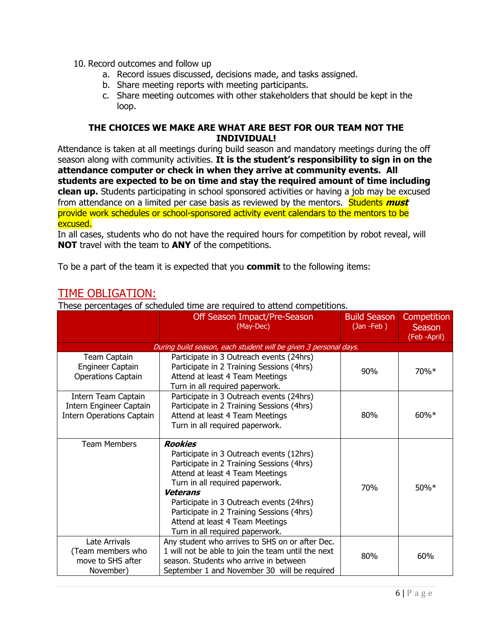- 10. Record outcomes and follow up
	- a. Record issues discussed, decisions made, and tasks assigned.
	- b. Share meeting reports with meeting participants.
	- c. Share meeting outcomes with other stakeholders that should be kept in the loop.

#### **THE CHOICES WE MAKE ARE WHAT ARE BEST FOR OUR TEAM NOT THE INDIVIDUAL!**

Attendance is taken at all meetings during build season and mandatory meetings during the off season along with community activities. **It is the student's responsibility to sign in on the attendance computer or check in when they arrive at community events. All students are expected to be on time and stay the required amount of time including clean up.** Students participating in school sponsored activities or having a job may be excused from attendance on a limited per case basis as reviewed by the mentors. Students **must** provide work schedules or school-sponsored activity event calendars to the mentors to be excused.

In all cases, students who do not have the required hours for competition by robot reveal, will **NOT** travel with the team to **ANY** of the competitions.

To be a part of the team it is expected that you **commit** to the following items:

## <span id="page-5-0"></span>TIME OBLIGATION:

These percentages of scheduled time are required to attend competitions.

|                                                                             | Off Season Impact/Pre-Season<br>(May-Dec)                                                                                                                                                                                                                                                                                                                       | <b>Build Season</b><br>(Jan-Feb) | Competition<br><b>Season</b><br>(Feb -April) |
|-----------------------------------------------------------------------------|-----------------------------------------------------------------------------------------------------------------------------------------------------------------------------------------------------------------------------------------------------------------------------------------------------------------------------------------------------------------|----------------------------------|----------------------------------------------|
|                                                                             | During build season, each student will be given 3 personal days.                                                                                                                                                                                                                                                                                                |                                  |                                              |
| Team Captain<br><b>Engineer Captain</b><br><b>Operations Captain</b>        | Participate in 3 Outreach events (24hrs)<br>Participate in 2 Training Sessions (4hrs)<br>Attend at least 4 Team Meetings<br>Turn in all required paperwork.                                                                                                                                                                                                     | 90%                              | 70%*                                         |
| Intern Team Captain<br>Intern Engineer Captain<br>Intern Operations Captain | Participate in 3 Outreach events (24hrs)<br>Participate in 2 Training Sessions (4hrs)<br>Attend at least 4 Team Meetings<br>Turn in all required paperwork.                                                                                                                                                                                                     | 80%                              | $60\%*$                                      |
| <b>Team Members</b>                                                         | <b>Rookies</b><br>Participate in 3 Outreach events (12hrs)<br>Participate in 2 Training Sessions (4hrs)<br>Attend at least 4 Team Meetings<br>Turn in all required paperwork.<br><b>Veterans</b><br>Participate in 3 Outreach events (24hrs)<br>Participate in 2 Training Sessions (4hrs)<br>Attend at least 4 Team Meetings<br>Turn in all required paperwork. | 70%                              | 50%*                                         |
| Late Arrivals<br>(Team members who<br>move to SHS after<br>November)        | Any student who arrives to SHS on or after Dec.<br>1 will not be able to join the team until the next<br>season. Students who arrive in between<br>September 1 and November 30 will be required                                                                                                                                                                 | 80%                              | 60%                                          |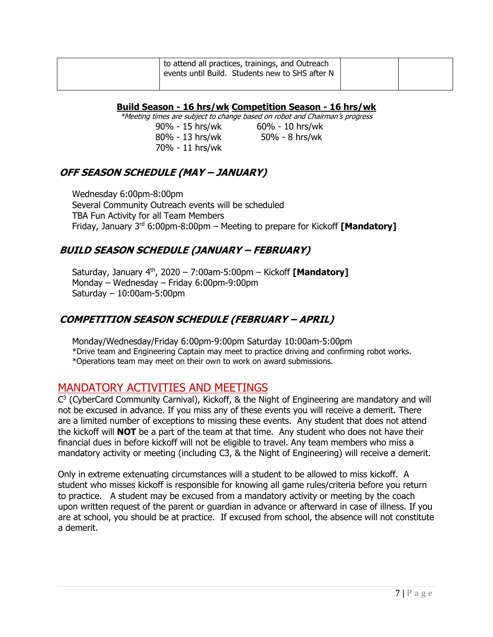| to attend all practices, trainings, and Outreach<br>events until Build. Students new to SHS after N |  |
|-----------------------------------------------------------------------------------------------------|--|
|                                                                                                     |  |

**Build Season - 16 hrs/wk Competition Season - 16 hrs/wk**

\*Meeting times are subject to change based on robot and Chairman's progress

90% - 15 hrs/wk 60% - 10 hrs/wk 80% - 13 hrs/wk 50% - 8 hrs/wk 70% - 11 hrs/wk

## <span id="page-6-0"></span>**OFF SEASON SCHEDULE (MAY – JANUARY)**

Wednesday 6:00pm-8:00pm Several Community Outreach events will be scheduled TBA Fun Activity for all Team Members Friday, January 3<sup>rd</sup> 6:00pm-8:00pm – Meeting to prepare for Kickoff **[Mandatory]** 

## <span id="page-6-1"></span>**BUILD SEASON SCHEDULE (JANUARY – FEBRUARY)**

Saturday, January 4<sup>th</sup>, 2020 - 7:00am-5:00pm - Kickoff **[Mandatory]** Monday – Wednesday – Friday 6:00pm-9:00pm Saturday – 10:00am-5:00pm

## <span id="page-6-2"></span>**COMPETITION SEASON SCHEDULE (FEBRUARY – APRIL)**

Monday/Wednesday/Friday 6:00pm-9:00pm Saturday 10:00am-5:00pm \*Drive team and Engineering Captain may meet to practice driving and confirming robot works. \*Operations team may meet on their own to work on award submissions.

## <span id="page-6-3"></span>MANDATORY ACTIVITIES AND MEETINGS

 $C<sup>3</sup>$  (CyberCard Community Carnival), Kickoff, & the Night of Engineering are mandatory and will not be excused in advance. If you miss any of these events you will receive a demerit. There are a limited number of exceptions to missing these events. Any student that does not attend the kickoff will **NOT** be a part of the team at that time. Any student who does not have their financial dues in before kickoff will not be eligible to travel. Any team members who miss a mandatory activity or meeting (including C3, & the Night of Engineering) will receive a demerit.

Only in extreme extenuating circumstances will a student to be allowed to miss kickoff. A student who misses kickoff is responsible for knowing all game rules/criteria before you return to practice. A student may be excused from a mandatory activity or meeting by the coach upon written request of the parent or guardian in advance or afterward in case of illness. If you are at school, you should be at practice. If excused from school, the absence will not constitute a demerit.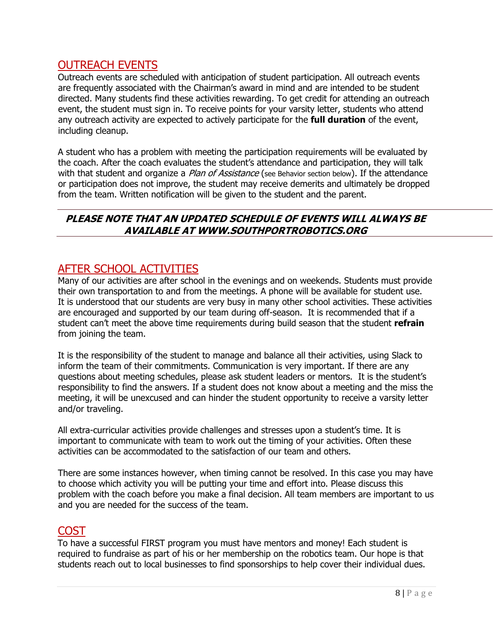## <span id="page-7-0"></span>OUTREACH EVENTS

Outreach events are scheduled with anticipation of student participation. All outreach events are frequently associated with the Chairman's award in mind and are intended to be student directed. Many students find these activities rewarding. To get credit for attending an outreach event, the student must sign in. To receive points for your varsity letter, students who attend any outreach activity are expected to actively participate for the **full duration** of the event, including cleanup.

A student who has a problem with meeting the participation requirements will be evaluated by the coach. After the coach evaluates the student's attendance and participation, they will talk with that student and organize a *Plan of Assistance* (see Behavior section below). If the attendance or participation does not improve, the student may receive demerits and ultimately be dropped from the team. Written notification will be given to the student and the parent.

### <span id="page-7-1"></span>**PLEASE NOTE THAT AN UPDATED SCHEDULE OF EVENTS WILL ALWAYS BE AVAILABLE AT WWW.SOUTHPORTROBOTICS.ORG**

## <span id="page-7-2"></span>AFTER SCHOOL ACTIVITIES

Many of our activities are after school in the evenings and on weekends. Students must provide their own transportation to and from the meetings. A phone will be available for student use. It is understood that our students are very busy in many other school activities. These activities are encouraged and supported by our team during off-season. It is recommended that if a student can't meet the above time requirements during build season that the student **refrain** from joining the team.

It is the responsibility of the student to manage and balance all their activities, using Slack to inform the team of their commitments. Communication is very important. If there are any questions about meeting schedules, please ask student leaders or mentors. It is the student's responsibility to find the answers. If a student does not know about a meeting and the miss the meeting, it will be unexcused and can hinder the student opportunity to receive a varsity letter and/or traveling.

All extra-curricular activities provide challenges and stresses upon a student's time. It is important to communicate with team to work out the timing of your activities. Often these activities can be accommodated to the satisfaction of our team and others.

There are some instances however, when timing cannot be resolved. In this case you may have to choose which activity you will be putting your time and effort into. Please discuss this problem with the coach before you make a final decision. All team members are important to us and you are needed for the success of the team.

## <span id="page-7-3"></span>COST

To have a successful FIRST program you must have mentors and money! Each student is required to fundraise as part of his or her membership on the robotics team. Our hope is that students reach out to local businesses to find sponsorships to help cover their individual dues.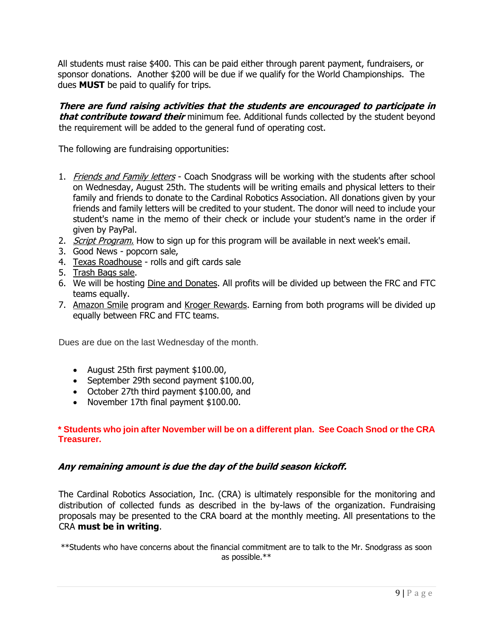All students must raise \$400. This can be paid either through parent payment, fundraisers, or sponsor donations. Another \$200 will be due if we qualify for the World Championships. The dues **MUST** be paid to qualify for trips.

**There are fund raising activities that the students are encouraged to participate in that contribute toward their** minimum fee. Additional funds collected by the student beyond the requirement will be added to the general fund of operating cost.

The following are fundraising opportunities:

- 1. Friends and Family letters Coach Snodgrass will be working with the students after school on Wednesday, August 25th. The students will be writing emails and physical letters to their family and friends to donate to the Cardinal Robotics Association. All donations given by your friends and family letters will be credited to your student. The donor will need to include your student's name in the memo of their check or include your student's name in the order if given by PayPal.
- 2. Script Program. How to sign up for this program will be available in next week's email.
- 3. Good News popcorn sale,
- 4. Texas Roadhouse rolls and gift cards sale
- 5. Trash Bags sale.
- 6. We will be hosting Dine and Donates. All profits will be divided up between the FRC and FTC teams equally.
- 7. Amazon Smile program and Kroger Rewards. Earning from both programs will be divided up equally between FRC and FTC teams.

Dues are due on the last Wednesday of the month.

- August 25th first payment \$100.00,
- September 29th second payment \$100.00,
- October 27th third payment \$100.00, and
- November 17th final payment \$100.00.

#### **\* Students who join after November will be on a different plan. See Coach Snod or the CRA Treasurer.**

#### **Any remaining amount is due the day of the build season kickoff.**

The Cardinal Robotics Association, Inc. (CRA) is ultimately responsible for the monitoring and distribution of collected funds as described in the by-laws of the organization. Fundraising proposals may be presented to the CRA board at the monthly meeting. All presentations to the CRA **must be in writing**.

\*\*Students who have concerns about the financial commitment are to talk to the Mr. Snodgrass as soon as possible.\*\*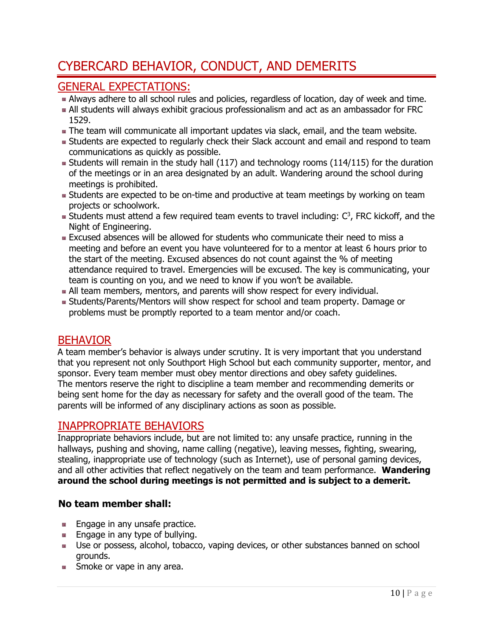## <span id="page-9-0"></span>CYBERCARD BEHAVIOR, CONDUCT, AND DEMERITS

## <span id="page-9-1"></span>GENERAL EXPECTATIONS:

- Always adhere to all school rules and policies, regardless of location, day of week and time.
- All students will always exhibit gracious professionalism and act as an ambassador for FRC 1529.
- **The team will communicate all important updates via slack, email, and the team website.**
- **Students are expected to regularly check their Slack account and email and respond to team** communications as quickly as possible.
- **Students will remain in the study hall (117) and technology rooms (114/115) for the duration** of the meetings or in an area designated by an adult. Wandering around the school during meetings is prohibited.
- **Students are expected to be on-time and productive at team meetings by working on team** projects or schoolwork.
- Students must attend a few required team events to travel including:  $C^3$ , FRC kickoff, and the Night of Engineering.
- Excused absences will be allowed for students who communicate their need to miss a meeting and before an event you have volunteered for to a mentor at least 6 hours prior to the start of the meeting. Excused absences do not count against the % of meeting attendance required to travel. Emergencies will be excused. The key is communicating, your team is counting on you, and we need to know if you won't be available.
- All team members, mentors, and parents will show respect for every individual.
- Students/Parents/Mentors will show respect for school and team property. Damage or problems must be promptly reported to a team mentor and/or coach.

## <span id="page-9-2"></span>BEHAVIOR

A team member's behavior is always under scrutiny. It is very important that you understand that you represent not only Southport High School but each community supporter, mentor, and sponsor. Every team member must obey mentor directions and obey safety guidelines. The mentors reserve the right to discipline a team member and recommending demerits or being sent home for the day as necessary for safety and the overall good of the team. The parents will be informed of any disciplinary actions as soon as possible.

## <span id="page-9-3"></span>INAPPROPRIATE BEHAVIORS

Inappropriate behaviors include, but are not limited to: any unsafe practice, running in the hallways, pushing and shoving, name calling (negative), leaving messes, fighting, swearing, stealing, inappropriate use of technology (such as Internet), use of personal gaming devices, and all other activities that reflect negatively on the team and team performance. **Wandering around the school during meetings is not permitted and is subject to a demerit.** 

## **No team member shall:**

- **Engage in any unsafe practice.**
- $\blacksquare$  Engage in any type of bullying.
- **Use or possess, alcohol, tobacco, vaping devices, or other substances banned on school** grounds.
- **Smoke or vape in any area.**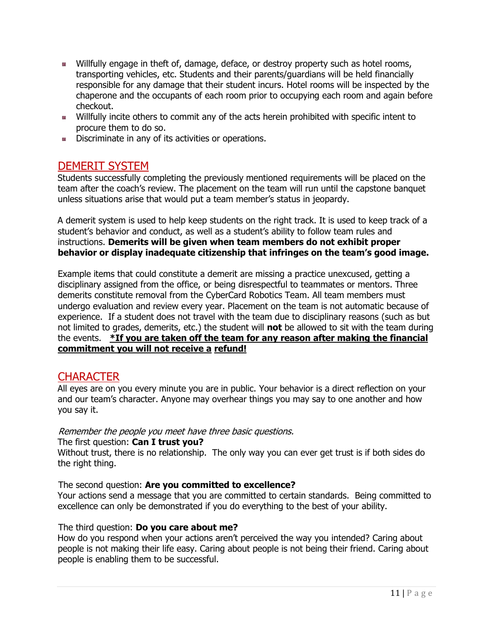- **Willfully engage in theft of, damage, deface, or destroy property such as hotel rooms,** transporting vehicles, etc. Students and their parents/guardians will be held financially responsible for any damage that their student incurs. Hotel rooms will be inspected by the chaperone and the occupants of each room prior to occupying each room and again before checkout.
- Willfully incite others to commit any of the acts herein prohibited with specific intent to procure them to do so.
- **Discriminate in any of its activities or operations.**

## <span id="page-10-0"></span>DEMERIT SYSTEM

Students successfully completing the previously mentioned requirements will be placed on the team after the coach's review. The placement on the team will run until the capstone banquet unless situations arise that would put a team member's status in jeopardy.

A demerit system is used to help keep students on the right track. It is used to keep track of a student's behavior and conduct, as well as a student's ability to follow team rules and instructions. **Demerits will be given when team members do not exhibit proper behavior or display inadequate citizenship that infringes on the team's good image.** 

Example items that could constitute a demerit are missing a practice unexcused, getting a disciplinary assigned from the office, or being disrespectful to teammates or mentors. Three demerits constitute removal from the CyberCard Robotics Team. All team members must undergo evaluation and review every year. Placement on the team is not automatic because of experience. If a student does not travel with the team due to disciplinary reasons (such as but not limited to grades, demerits, etc.) the student will **not** be allowed to sit with the team during the events. **\*If you are taken off the team for any reason after making the financial commitment you will not receive a refund!**

## <span id="page-10-1"></span>**CHARACTER**

All eyes are on you every minute you are in public. Your behavior is a direct reflection on your and our team's character. Anyone may overhear things you may say to one another and how you say it.

#### Remember the people you meet have three basic questions.

#### The first question: **Can I trust you?**

Without trust, there is no relationship. The only way you can ever get trust is if both sides do the right thing.

#### The second question: **Are you committed to excellence?**

Your actions send a message that you are committed to certain standards. Being committed to excellence can only be demonstrated if you do everything to the best of your ability.

#### The third question: **Do you care about me?**

How do you respond when your actions aren't perceived the way you intended? Caring about people is not making their life easy. Caring about people is not being their friend. Caring about people is enabling them to be successful.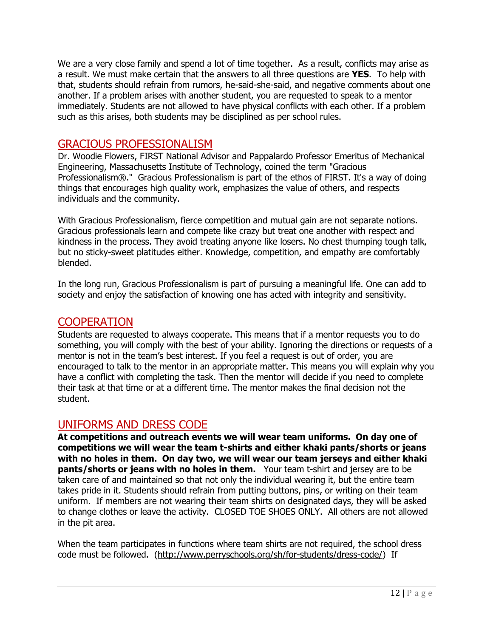We are a very close family and spend a lot of time together. As a result, conflicts may arise as a result. We must make certain that the answers to all three questions are **YES**. To help with that, students should refrain from rumors, he-said-she-said, and negative comments about one another. If a problem arises with another student, you are requested to speak to a mentor immediately. Students are not allowed to have physical conflicts with each other. If a problem such as this arises, both students may be disciplined as per school rules.

### <span id="page-11-0"></span>GRACIOUS PROFESSIONALISM

Dr. Woodie Flowers, FIRST National Advisor and Pappalardo Professor Emeritus of Mechanical Engineering, Massachusetts Institute of Technology, coined the term "Gracious Professionalism®." Gracious Professionalism is part of the ethos of FIRST. It's a way of doing things that encourages high quality work, emphasizes the value of others, and respects individuals and the community.

With Gracious Professionalism, fierce competition and mutual gain are not separate notions. Gracious professionals learn and compete like crazy but treat one another with respect and kindness in the process. They avoid treating anyone like losers. No chest thumping tough talk, but no sticky-sweet platitudes either. Knowledge, competition, and empathy are comfortably blended.

In the long run, Gracious Professionalism is part of pursuing a meaningful life. One can add to society and enjoy the satisfaction of knowing one has acted with integrity and sensitivity.

## <span id="page-11-1"></span>**COOPERATION**

Students are requested to always cooperate. This means that if a mentor requests you to do something, you will comply with the best of your ability. Ignoring the directions or requests of a mentor is not in the team's best interest. If you feel a request is out of order, you are encouraged to talk to the mentor in an appropriate matter. This means you will explain why you have a conflict with completing the task. Then the mentor will decide if you need to complete their task at that time or at a different time. The mentor makes the final decision not the student.

#### <span id="page-11-2"></span>UNIFORMS AND DRESS CODE

**At competitions and outreach events we will wear team uniforms. On day one of competitions we will wear the team t-shirts and either khaki pants/shorts or jeans with no holes in them. On day two, we will wear our team jerseys and either khaki pants/shorts or jeans with no holes in them.** Your team t-shirt and jersey are to be taken care of and maintained so that not only the individual wearing it, but the entire team takes pride in it. Students should refrain from putting buttons, pins, or writing on their team uniform. If members are not wearing their team shirts on designated days, they will be asked to change clothes or leave the activity. CLOSED TOE SHOES ONLY. All others are not allowed in the pit area.

When the team participates in functions where team shirts are not required, the school dress code must be followed. [\(http://www.perryschools.org/sh/for-students/dress-code/\)](http://www.perryschools.org/sh/for-students/dress-code/) If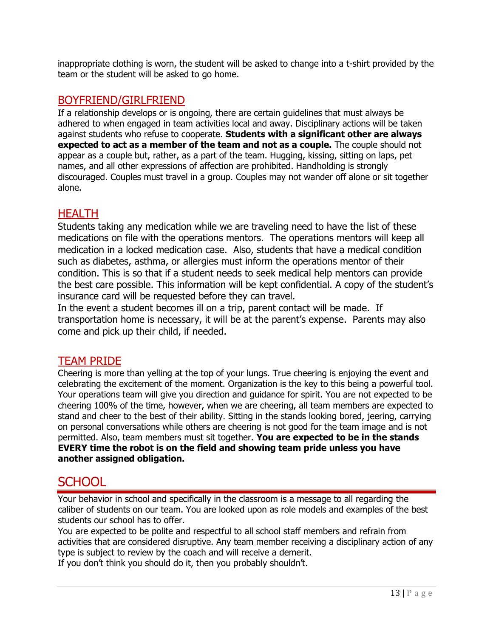inappropriate clothing is worn, the student will be asked to change into a t-shirt provided by the team or the student will be asked to go home.

## <span id="page-12-0"></span>BOYFRIEND/GIRLFRIEND

If a relationship develops or is ongoing, there are certain guidelines that must always be adhered to when engaged in team activities local and away. Disciplinary actions will be taken against students who refuse to cooperate. **Students with a significant other are always expected to act as a member of the team and not as a couple.** The couple should not appear as a couple but, rather, as a part of the team. Hugging, kissing, sitting on laps, pet names, and all other expressions of affection are prohibited. Handholding is strongly discouraged. Couples must travel in a group. Couples may not wander off alone or sit together alone.

## <span id="page-12-1"></span>**HEALTH**

Students taking any medication while we are traveling need to have the list of these medications on file with the operations mentors. The operations mentors will keep all medication in a locked medication case. Also, students that have a medical condition such as diabetes, asthma, or allergies must inform the operations mentor of their condition. This is so that if a student needs to seek medical help mentors can provide the best care possible. This information will be kept confidential. A copy of the student's insurance card will be requested before they can travel.

In the event a student becomes ill on a trip, parent contact will be made. If transportation home is necessary, it will be at the parent's expense. Parents may also come and pick up their child, if needed.

#### <span id="page-12-2"></span>TEAM PRIDE

Cheering is more than yelling at the top of your lungs. True cheering is enjoying the event and celebrating the excitement of the moment. Organization is the key to this being a powerful tool. Your operations team will give you direction and guidance for spirit. You are not expected to be cheering 100% of the time, however, when we are cheering, all team members are expected to stand and cheer to the best of their ability. Sitting in the stands looking bored, jeering, carrying on personal conversations while others are cheering is not good for the team image and is not permitted. Also, team members must sit together. **You are expected to be in the stands EVERY time the robot is on the field and showing team pride unless you have another assigned obligation.**

## <span id="page-12-3"></span>**SCHOOL**

Your behavior in school and specifically in the classroom is a message to all regarding the caliber of students on our team. You are looked upon as role models and examples of the best students our school has to offer.

You are expected to be polite and respectful to all school staff members and refrain from activities that are considered disruptive. Any team member receiving a disciplinary action of any type is subject to review by the coach and will receive a demerit.

If you don't think you should do it, then you probably shouldn't.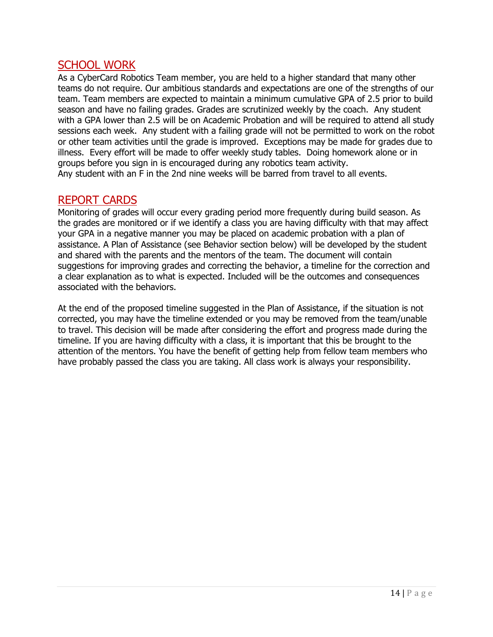## <span id="page-13-0"></span>SCHOOL WORK

As a CyberCard Robotics Team member, you are held to a higher standard that many other teams do not require. Our ambitious standards and expectations are one of the strengths of our team. Team members are expected to maintain a minimum cumulative GPA of 2.5 prior to build season and have no failing grades. Grades are scrutinized weekly by the coach. Any student with a GPA lower than 2.5 will be on Academic Probation and will be required to attend all study sessions each week. Any student with a failing grade will not be permitted to work on the robot or other team activities until the grade is improved. Exceptions may be made for grades due to illness. Every effort will be made to offer weekly study tables. Doing homework alone or in groups before you sign in is encouraged during any robotics team activity. Any student with an F in the 2nd nine weeks will be barred from travel to all events.

### <span id="page-13-1"></span>REPORT CARDS

Monitoring of grades will occur every grading period more frequently during build season. As the grades are monitored or if we identify a class you are having difficulty with that may affect your GPA in a negative manner you may be placed on academic probation with a plan of assistance. A Plan of Assistance (see Behavior section below) will be developed by the student and shared with the parents and the mentors of the team. The document will contain suggestions for improving grades and correcting the behavior, a timeline for the correction and a clear explanation as to what is expected. Included will be the outcomes and consequences associated with the behaviors.

At the end of the proposed timeline suggested in the Plan of Assistance, if the situation is not corrected, you may have the timeline extended or you may be removed from the team/unable to travel. This decision will be made after considering the effort and progress made during the timeline. If you are having difficulty with a class, it is important that this be brought to the attention of the mentors. You have the benefit of getting help from fellow team members who have probably passed the class you are taking. All class work is always your responsibility.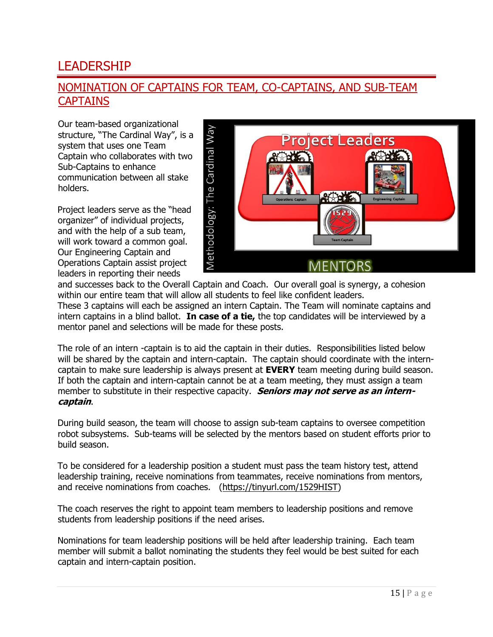## <span id="page-14-0"></span>LEADERSHIP

## <span id="page-14-1"></span>NOMINATION OF CAPTAINS FOR TEAM, CO-CAPTAINS, AND SUB-TEAM **CAPTAINS**

Our team-based organizational structure, "The Cardinal Way", is a system that uses one Team Captain who collaborates with two Sub-Captains to enhance communication between all stake holders.

Project leaders serve as the "head organizer" of individual projects, and with the help of a sub team, will work toward a common goal. Our Engineering Captain and Operations Captain assist project leaders in reporting their needs



and successes back to the Overall Captain and Coach. Our overall goal is synergy, a cohesion within our entire team that will allow all students to feel like confident leaders.

These 3 captains will each be assigned an intern Captain. The Team will nominate captains and intern captains in a blind ballot. **In case of a tie,** the top candidates will be interviewed by a mentor panel and selections will be made for these posts.

The role of an intern -captain is to aid the captain in their duties. Responsibilities listed below will be shared by the captain and intern-captain. The captain should coordinate with the interncaptain to make sure leadership is always present at **EVERY** team meeting during build season. If both the captain and intern-captain cannot be at a team meeting, they must assign a team member to substitute in their respective capacity. **Seniors may not serve as an interncaptain**.

During build season, the team will choose to assign sub-team captains to oversee competition robot subsystems. Sub-teams will be selected by the mentors based on student efforts prior to build season.

To be considered for a leadership position a student must pass the team history test, attend leadership training, receive nominations from teammates, receive nominations from mentors, and receive nominations from coaches. [\(https://tinyurl.com/1529HIST\)](https://tinyurl.com/1529HIST)

The coach reserves the right to appoint team members to leadership positions and remove students from leadership positions if the need arises.

Nominations for team leadership positions will be held after leadership training. Each team member will submit a ballot nominating the students they feel would be best suited for each captain and intern-captain position.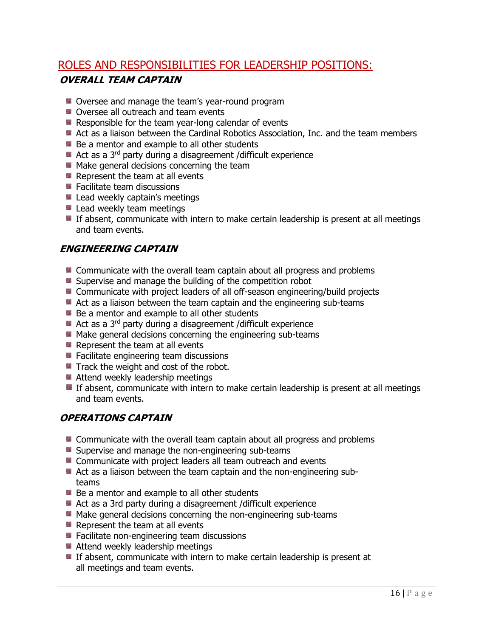## <span id="page-15-1"></span><span id="page-15-0"></span>ROLES AND RESPONSIBILITIES FOR LEADERSHIP POSITIONS: **OVERALL TEAM CAPTAIN**

- **De** Oversee and manage the team's year-round program
- Oversee all outreach and team events
- $\blacksquare$  Responsible for the team year-long calendar of events
- Act as a liaison between the Cardinal Robotics Association, Inc. and the team members
- **Be a mentor and example to all other students**
- Act as a 3<sup>rd</sup> party during a disagreement /difficult experience
- Make general decisions concerning the team
- $\blacksquare$  Represent the team at all events
- **E** Facilitate team discussions
- **E** Lead weekly captain's meetings
- **Lead weekly team meetings**
- **If absent, communicate with intern to make certain leadership is present at all meetings** and team events.

#### <span id="page-15-2"></span>**ENGINEERING CAPTAIN**

- **EX** Communicate with the overall team captain about all progress and problems
- **E** Supervise and manage the building of the competition robot
- **E** Communicate with project leaders of all off-season engineering/build projects
- Act as a liaison between the team captain and the engineering sub-teams
- **Be a mentor and example to all other students**
- $\blacksquare$  Act as a 3<sup>rd</sup> party during a disagreement /difficult experience
- Make general decisions concerning the engineering sub-teams
- Represent the team at all events
- Facilitate engineering team discussions
- Track the weight and cost of the robot.
- Attend weekly leadership meetings
- **If absent, communicate with intern to make certain leadership is present at all meetings** and team events.

#### <span id="page-15-3"></span>**OPERATIONS CAPTAIN**

- **E** Communicate with the overall team captain about all progress and problems
- **B** Supervise and manage the non-engineering sub-teams
- **E** Communicate with project leaders all team outreach and events
- Act as a liaison between the team captain and the non-engineering subteams
- **Be a mentor and example to all other students**
- Act as a 3rd party during a disagreement /difficult experience
- Make general decisions concerning the non-engineering sub-teams
- $\blacksquare$  Represent the team at all events
- Facilitate non-engineering team discussions
- Attend weekly leadership meetings
- **If absent, communicate with intern to make certain leadership is present at** all meetings and team events.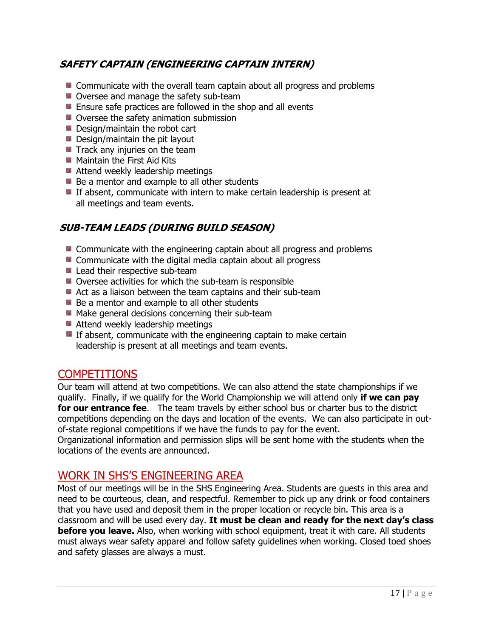### <span id="page-16-0"></span>**SAFETY CAPTAIN (ENGINEERING CAPTAIN INTERN)**

- **E** Communicate with the overall team captain about all progress and problems
- Oversee and manage the safety sub-team
- **E** Ensure safe practices are followed in the shop and all events
- **D** Oversee the safety animation submission
- Design/maintain the robot cart
- **Design/maintain the pit layout**
- $\blacksquare$  Track any injuries on the team
- **Maintain the First Aid Kits**
- Attend weekly leadership meetings
- **Be a mentor and example to all other students**
- If absent, communicate with intern to make certain leadership is present at all meetings and team events.

### <span id="page-16-1"></span>**SUB-TEAM LEADS (DURING BUILD SEASON)**

- **E** Communicate with the engineering captain about all progress and problems
- **E** Communicate with the digital media captain about all progress
- Lead their respective sub-team
- Oversee activities for which the sub-team is responsible
- Act as a liaison between the team captains and their sub-team
- $\blacksquare$  Be a mentor and example to all other students
- **Make general decisions concerning their sub-team**
- Attend weekly leadership meetings
- $\blacksquare$  If absent, communicate with the engineering captain to make certain leadership is present at all meetings and team events.

## <span id="page-16-2"></span>COMPETITIONS

Our team will attend at two competitions. We can also attend the state championships if we qualify. Finally, if we qualify for the World Championship we will attend only **if we can pay for our entrance fee**. The team travels by either school bus or charter bus to the district competitions depending on the days and location of the events. We can also participate in outof-state regional competitions if we have the funds to pay for the event.

Organizational information and permission slips will be sent home with the students when the locations of the events are announced.

## <span id="page-16-3"></span>WORK IN SHS'S ENGINEERING AREA

Most of our meetings will be in the SHS Engineering Area. Students are guests in this area and need to be courteous, clean, and respectful. Remember to pick up any drink or food containers that you have used and deposit them in the proper location or recycle bin. This area is a classroom and will be used every day. **It must be clean and ready for the next day's class before you leave.** Also, when working with school equipment, treat it with care. All students must always wear safety apparel and follow safety guidelines when working. Closed toed shoes and safety glasses are always a must.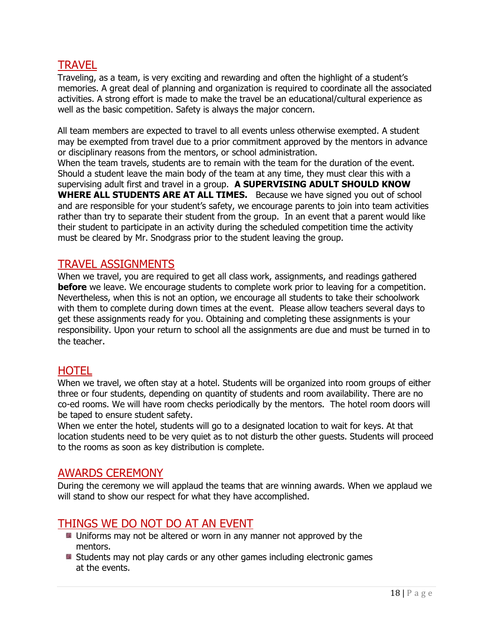## <span id="page-17-0"></span>**TRAVEL**

Traveling, as a team, is very exciting and rewarding and often the highlight of a student's memories. A great deal of planning and organization is required to coordinate all the associated activities. A strong effort is made to make the travel be an educational/cultural experience as well as the basic competition. Safety is always the major concern.

All team members are expected to travel to all events unless otherwise exempted. A student may be exempted from travel due to a prior commitment approved by the mentors in advance or disciplinary reasons from the mentors, or school administration.

When the team travels, students are to remain with the team for the duration of the event. Should a student leave the main body of the team at any time, they must clear this with a supervising adult first and travel in a group. **A SUPERVISING ADULT SHOULD KNOW WHERE ALL STUDENTS ARE AT ALL TIMES.** Because we have signed you out of school and are responsible for your student's safety, we encourage parents to join into team activities rather than try to separate their student from the group. In an event that a parent would like their student to participate in an activity during the scheduled competition time the activity must be cleared by Mr. Snodgrass prior to the student leaving the group.

### <span id="page-17-1"></span>TRAVEL ASSIGNMENTS

When we travel, you are required to get all class work, assignments, and readings gathered **before** we leave. We encourage students to complete work prior to leaving for a competition. Nevertheless, when this is not an option, we encourage all students to take their schoolwork with them to complete during down times at the event. Please allow teachers several days to get these assignments ready for you. Obtaining and completing these assignments is your responsibility. Upon your return to school all the assignments are due and must be turned in to the teacher.

#### <span id="page-17-2"></span>**HOTEL**

When we travel, we often stay at a hotel. Students will be organized into room groups of either three or four students, depending on quantity of students and room availability. There are no co-ed rooms. We will have room checks periodically by the mentors. The hotel room doors will be taped to ensure student safety.

When we enter the hotel, students will go to a designated location to wait for keys. At that location students need to be very quiet as to not disturb the other guests. Students will proceed to the rooms as soon as key distribution is complete.

## <span id="page-17-3"></span>AWARDS CEREMONY

During the ceremony we will applaud the teams that are winning awards. When we applaud we will stand to show our respect for what they have accomplished.

## <span id="page-17-4"></span>THINGS WE DO NOT DO AT AN EVENT

- **Uniforms may not be altered or worn in any manner not approved by the** mentors.
- **E** Students may not play cards or any other games including electronic games at the events.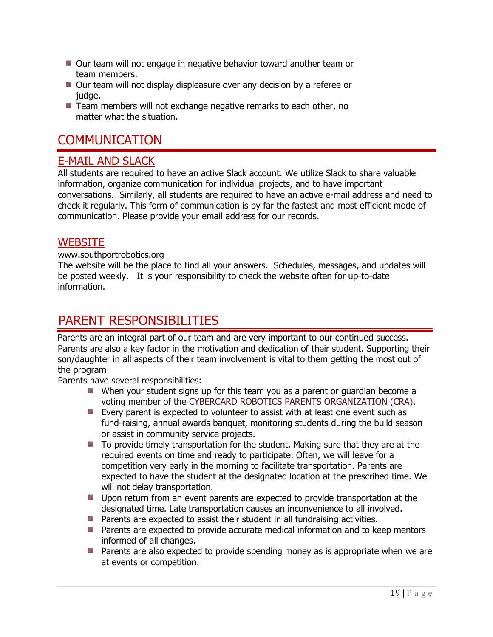- **Our team will not engage in negative behavior toward another team or** team members.
- Our team will not display displeasure over any decision by a referee or judge.
- **E** Team members will not exchange negative remarks to each other, no matter what the situation.

## <span id="page-18-0"></span>**COMMUNICATION**

## <span id="page-18-1"></span>E-MAIL AND SLACK

All students are required to have an active Slack account. We utilize Slack to share valuable information, organize communication for individual projects, and to have important conversations. Similarly, all students are required to have an active e-mail address and need to check it regularly. This form of communication is by far the fastest and most efficient mode of communication. Please provide your email address for our records.

## <span id="page-18-2"></span>**WEBSITE**

#### www.southportrobotics.org

The website will be the place to find all your answers. Schedules, messages, and updates will be posted weekly. It is your responsibility to check the website often for up-to-date information.

## <span id="page-18-3"></span>PARENT RESPONSIBILITIES

Parents are an integral part of our team and are very important to our continued success. Parents are also a key factor in the motivation and dedication of their student. Supporting their son/daughter in all aspects of their team involvement is vital to them getting the most out of the program

Parents have several responsibilities:

- When your student signs up for this team you as a parent or guardian become a voting member of the CYBERCARD ROBOTICS PARENTS ORGANIZATION (CRA).
- **E** Every parent is expected to volunteer to assist with at least one event such as fund-raising, annual awards banquet, monitoring students during the build season or assist in community service projects.
- $\blacksquare$  To provide timely transportation for the student. Making sure that they are at the required events on time and ready to participate. Often, we will leave for a competition very early in the morning to facilitate transportation. Parents are expected to have the student at the designated location at the prescribed time. We will not delay transportation.
- **Upon return from an event parents are expected to provide transportation at the** designated time. Late transportation causes an inconvenience to all involved.
- **Parents are expected to assist their student in all fundraising activities.**
- **Parents are expected to provide accurate medical information and to keep mentors** informed of all changes.
- **Parents are also expected to provide spending money as is appropriate when we are** at events or competition.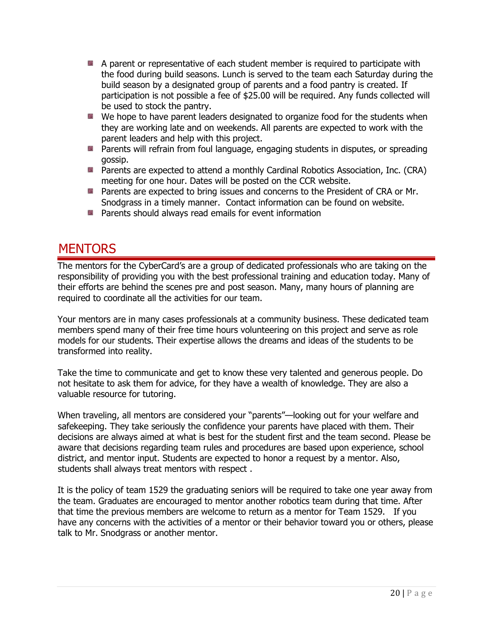- A parent or representative of each student member is required to participate with the food during build seasons. Lunch is served to the team each Saturday during the build season by a designated group of parents and a food pantry is created. If participation is not possible a fee of \$25.00 will be required. Any funds collected will be used to stock the pantry.
- We hope to have parent leaders designated to organize food for the students when they are working late and on weekends. All parents are expected to work with the parent leaders and help with this project.
- **Parents will refrain from foul language, engaging students in disputes, or spreading** gossip.
- **Parents are expected to attend a monthly Cardinal Robotics Association, Inc. (CRA)** meeting for one hour. Dates will be posted on the CCR website.
- **Parents are expected to bring issues and concerns to the President of CRA or Mr.** Snodgrass in a timely manner. Contact information can be found on website.
- **Parents should always read emails for event information**

## <span id="page-19-0"></span>**MENTORS**

The mentors for the CyberCard's are a group of dedicated professionals who are taking on the responsibility of providing you with the best professional training and education today. Many of their efforts are behind the scenes pre and post season. Many, many hours of planning are required to coordinate all the activities for our team.

Your mentors are in many cases professionals at a community business. These dedicated team members spend many of their free time hours volunteering on this project and serve as role models for our students. Their expertise allows the dreams and ideas of the students to be transformed into reality.

Take the time to communicate and get to know these very talented and generous people. Do not hesitate to ask them for advice, for they have a wealth of knowledge. They are also a valuable resource for tutoring.

When traveling, all mentors are considered your "parents"—looking out for your welfare and safekeeping. They take seriously the confidence your parents have placed with them. Their decisions are always aimed at what is best for the student first and the team second. Please be aware that decisions regarding team rules and procedures are based upon experience, school district, and mentor input. Students are expected to honor a request by a mentor. Also, students shall always treat mentors with respect .

It is the policy of team 1529 the graduating seniors will be required to take one year away from the team. Graduates are encouraged to mentor another robotics team during that time. After that time the previous members are welcome to return as a mentor for Team 1529. If you have any concerns with the activities of a mentor or their behavior toward you or others, please talk to Mr. Snodgrass or another mentor.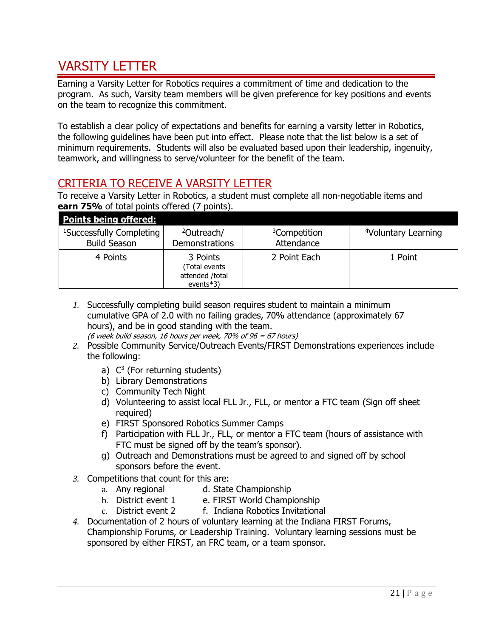## <span id="page-20-0"></span>VARSITY LETTER

Earning a Varsity Letter for Robotics requires a commitment of time and dedication to the program. As such, Varsity team members will be given preference for key positions and events on the team to recognize this commitment.

To establish a clear policy of expectations and benefits for earning a varsity letter in Robotics, the following guidelines have been put into effect. Please note that the list below is a set of minimum requirements. Students will also be evaluated based upon their leadership, ingenuity, teamwork, and willingness to serve/volunteer for the benefit of the team.

## <span id="page-20-1"></span>CRITERIA TO RECEIVE A VARSITY LETTER

To receive a Varsity Letter in Robotics, a student must complete all non-negotiable items and **earn 75%** of total points offered (7 points).

| <b>Points being offered:</b>         |                                                              |                          |                                 |
|--------------------------------------|--------------------------------------------------------------|--------------------------|---------------------------------|
| <sup>1</sup> Successfully Completing | <sup>2</sup> Outreach/                                       | <sup>3</sup> Competition | <sup>4</sup> Voluntary Learning |
| <b>Build Season</b>                  | <b>Demonstrations</b>                                        | Attendance               |                                 |
| 4 Points                             | 3 Points<br>(Total events<br>attended /total<br>events $*3)$ | 2 Point Each             | 1 Point                         |

- *1.* Successfully completing build season requires student to maintain a minimum cumulative GPA of 2.0 with no failing grades, 70% attendance (approximately 67 hours), and be in good standing with the team. (6 week build season, 16 hours per week, 70% of 96 = 67 hours)
- *2.* Possible Community Service/Outreach Events/FIRST Demonstrations experiences include the following:
	- a)  $C^3$  (For returning students)
	- b) Library Demonstrations
	- c) Community Tech Night
	- d) Volunteering to assist local FLL Jr., FLL, or mentor a FTC team (Sign off sheet required)
	- e) FIRST Sponsored Robotics Summer Camps
	- f) Participation with FLL Jr., FLL, or mentor a FTC team (hours of assistance with FTC must be signed off by the team's sponsor).
	- g) Outreach and Demonstrations must be agreed to and signed off by school sponsors before the event.
- *3.* Competitions that count for this are:
	- a. Any regional d. State Championship
	- b. District event 1 e. FIRST World Championship
	- c. District event 2 f. Indiana Robotics Invitational
- *4.* Documentation of 2 hours of voluntary learning at the Indiana FIRST Forums, Championship Forums, or Leadership Training. Voluntary learning sessions must be sponsored by either FIRST, an FRC team, or a team sponsor.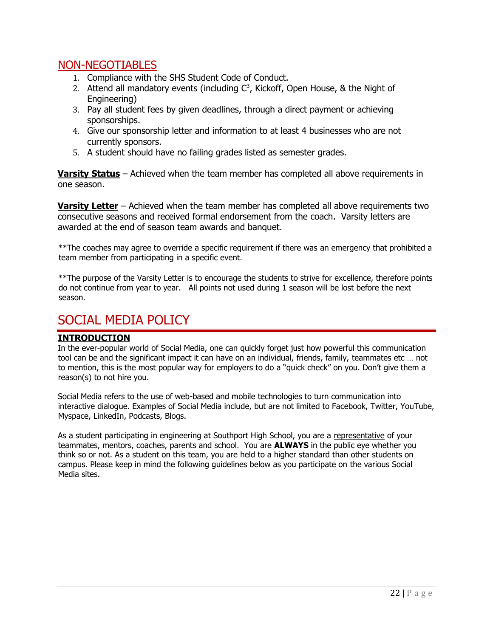## <span id="page-21-0"></span>NON-NEGOTIABLES

- 1. Compliance with the SHS Student Code of Conduct.
- 2. Attend all mandatory events (including  $C<sup>3</sup>$ , Kickoff, Open House, & the Night of Engineering)
- 3. Pay all student fees by given deadlines, through a direct payment or achieving sponsorships.
- 4. Give our sponsorship letter and information to at least 4 businesses who are not currently sponsors.
- 5. A student should have no failing grades listed as semester grades.

**Varsity Status** – Achieved when the team member has completed all above requirements in one season.

**Varsity Letter** – Achieved when the team member has completed all above requirements two consecutive seasons and received formal endorsement from the coach. Varsity letters are awarded at the end of season team awards and banquet.

\*\*The coaches may agree to override a specific requirement if there was an emergency that prohibited a team member from participating in a specific event.

\*\*The purpose of the Varsity Letter is to encourage the students to strive for excellence, therefore points do not continue from year to year. All points not used during 1 season will be lost before the next season.

## <span id="page-21-1"></span>SOCIAL MEDIA POLICY

#### **INTRODUCTION**

In the ever-popular world of Social Media, one can quickly forget just how powerful this communication tool can be and the significant impact it can have on an individual, friends, family, teammates etc … not to mention, this is the most popular way for employers to do a "quick check" on you. Don't give them a reason(s) to not hire you.

Social Media refers to the use of web-based and mobile technologies to turn communication into interactive dialogue. Examples of Social Media include, but are not limited to Facebook, Twitter, YouTube, Myspace, LinkedIn, Podcasts, Blogs.

As a student participating in engineering at Southport High School, you are a representative of your teammates, mentors, coaches, parents and school. You are **ALWAYS** in the public eye whether you think so or not. As a student on this team, you are held to a higher standard than other students on campus. Please keep in mind the following guidelines below as you participate on the various Social Media sites.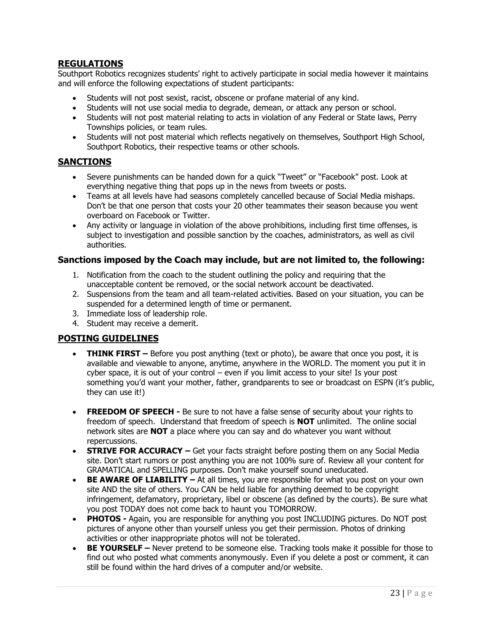#### **REGULATIONS**

Southport Robotics recognizes students' right to actively participate in social media however it maintains and will enforce the following expectations of student participants:

- Students will not post sexist, racist, obscene or profane material of any kind.
- Students will not use social media to degrade, demean, or attack any person or school.
- Students will not post material relating to acts in violation of any Federal or State laws, Perry Townships policies, or team rules.
- Students will not post material which reflects negatively on themselves, Southport High School, Southport Robotics, their respective teams or other schools.

#### **SANCTIONS**

- Severe punishments can be handed down for a quick "Tweet" or "Facebook" post. Look at everything negative thing that pops up in the news from tweets or posts.
- Teams at all levels have had seasons completely cancelled because of Social Media mishaps. Don't be that one person that costs your 20 other teammates their season because you went overboard on Facebook or Twitter.
- Any activity or language in violation of the above prohibitions, including first time offenses, is subject to investigation and possible sanction by the coaches, administrators, as well as civil authorities.

#### **Sanctions imposed by the Coach may include, but are not limited to, the following:**

- 1. Notification from the coach to the student outlining the policy and requiring that the unacceptable content be removed, or the social network account be deactivated.
- 2. Suspensions from the team and all team-related activities. Based on your situation, you can be suspended for a determined length of time or permanent.
- 3. Immediate loss of leadership role.
- 4. Student may receive a demerit.

#### **POSTING GUIDELINES**

- **THINK FIRST** Before you post anything (text or photo), be aware that once you post, it is available and viewable to anyone, anytime, anywhere in the WORLD. The moment you put it in cyber space, it is out of your control – even if you limit access to your site! Is your post something you'd want your mother, father, grandparents to see or broadcast on ESPN (it's public, they can use it!)
- **FREEDOM OF SPEECH -** Be sure to not have a false sense of security about your rights to freedom of speech. Understand that freedom of speech is **NOT** unlimited. The online social network sites are **NOT** a place where you can say and do whatever you want without repercussions.
- **STRIVE FOR ACCURACY –** Get your facts straight before posting them on any Social Media site. Don't start rumors or post anything you are not 100% sure of. Review all your content for GRAMATICAL and SPELLING purposes. Don't make yourself sound uneducated.
- **BE AWARE OF LIABILITY –** At all times, you are responsible for what you post on your own site AND the site of others. You CAN be held liable for anything deemed to be copyright infringement, defamatory, proprietary, libel or obscene (as defined by the courts). Be sure what you post TODAY does not come back to haunt you TOMORROW.
- **PHOTOS -** Again, you are responsible for anything you post INCLUDING pictures. Do NOT post pictures of anyone other than yourself unless you get their permission. Photos of drinking activities or other inappropriate photos will not be tolerated.
- **BE YOURSELF –** Never pretend to be someone else. Tracking tools make it possible for those to find out who posted what comments anonymously. Even if you delete a post or comment, it can still be found within the hard drives of a computer and/or website.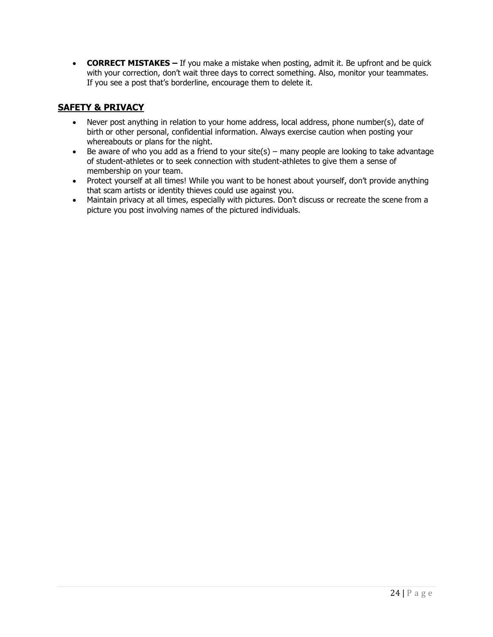• **CORRECT MISTAKES –** If you make a mistake when posting, admit it. Be upfront and be quick with your correction, don't wait three days to correct something. Also, monitor your teammates. If you see a post that's borderline, encourage them to delete it.

#### **SAFETY & PRIVACY**

- Never post anything in relation to your home address, local address, phone number(s), date of birth or other personal, confidential information. Always exercise caution when posting your whereabouts or plans for the night.
- Be aware of who you add as a friend to your site(s) many people are looking to take advantage of student-athletes or to seek connection with student-athletes to give them a sense of membership on your team.
- Protect yourself at all times! While you want to be honest about yourself, don't provide anything that scam artists or identity thieves could use against you.
- Maintain privacy at all times, especially with pictures. Don't discuss or recreate the scene from a picture you post involving names of the pictured individuals.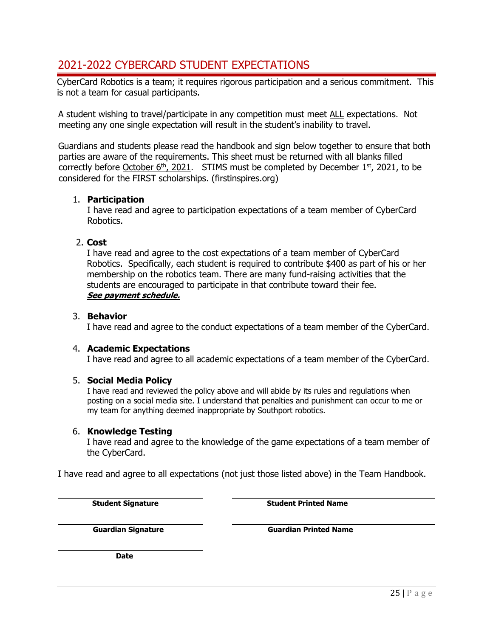## <span id="page-24-0"></span>2021-2022 CYBERCARD STUDENT EXPECTATIONS

CyberCard Robotics is a team; it requires rigorous participation and a serious commitment. This is not a team for casual participants.

A student wishing to travel/participate in any competition must meet ALL expectations. Not meeting any one single expectation will result in the student's inability to travel.

Guardians and students please read the handbook and sign below together to ensure that both parties are aware of the requirements. This sheet must be returned with all blanks filled correctly before October  $6<sup>th</sup>$ , 2021. STIMS must be completed by December  $1<sup>st</sup>$ , 2021, to be considered for the FIRST scholarships. (firstinspires.org)

#### 1. **Participation**

I have read and agree to participation expectations of a team member of CyberCard Robotics.

#### 2. **Cost**

I have read and agree to the cost expectations of a team member of CyberCard Robotics. Specifically, each student is required to contribute \$400 as part of his or her membership on the robotics team. There are many fund-raising activities that the students are encouraged to participate in that contribute toward their fee. **[See payment schedule.](#page-7-3)** 

#### 3. **Behavior**

I have read and agree to the conduct expectations of a team member of the CyberCard.

#### 4. **Academic Expectations**

I have read and agree to all academic expectations of a team member of the CyberCard.

#### 5. **Social Media Policy**

I have read and reviewed the policy above and will abide by its rules and regulations when posting on a social media site. I understand that penalties and punishment can occur to me or my team for anything deemed inappropriate by Southport robotics.

#### 6. **Knowledge Testing**

I have read and agree to the knowledge of the game expectations of a team member of the CyberCard.

I have read and agree to all expectations (not just those listed above) in the Team Handbook.

**Student Signature Student Printed Name** 

**Guardian Signature Guardian Printed Name** 

**Date**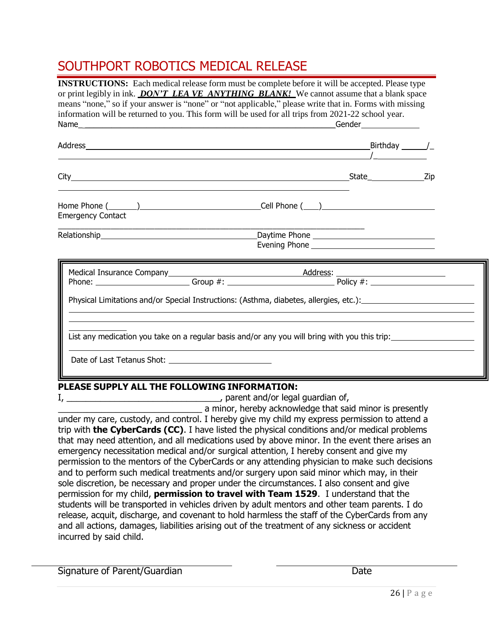## <span id="page-25-0"></span>SOUTHPORT ROBOTICS MEDICAL RELEASE

| INSTRUCTIONS: Each medical release form must be complete before it will be accepted. Please type<br>or print legibly in ink. DON'T LEA VE ANYTHING BLANK! We cannot assume that a blank space<br>means "none," so if your answer is "none" or "not applicable," please write that in. Forms with missing<br>information will be returned to you. This form will be used for all trips from 2021-22 school year. |                                                                                                                  |  |
|-----------------------------------------------------------------------------------------------------------------------------------------------------------------------------------------------------------------------------------------------------------------------------------------------------------------------------------------------------------------------------------------------------------------|------------------------------------------------------------------------------------------------------------------|--|
|                                                                                                                                                                                                                                                                                                                                                                                                                 |                                                                                                                  |  |
|                                                                                                                                                                                                                                                                                                                                                                                                                 |                                                                                                                  |  |
| <b>Emergency Contact</b>                                                                                                                                                                                                                                                                                                                                                                                        |                                                                                                                  |  |
| <b>Relationship Relationship</b>                                                                                                                                                                                                                                                                                                                                                                                |                                                                                                                  |  |
| Physical Limitations and/or Special Instructions: (Asthma, diabetes, allergies, etc.):                                                                                                                                                                                                                                                                                                                          |                                                                                                                  |  |
| List any medication you take on a regular basis and/or any you will bring with you this trip:                                                                                                                                                                                                                                                                                                                   |                                                                                                                  |  |
| <u> 2001 - John Stein, Amerikaansk politiker (* 1852)</u><br>PLEASE SUPPLY ALL THE FOLLOWING INFORMATION:<br>$I, \underline{\hspace{2cm}}$ parent and/or legal guardian of,                                                                                                                                                                                                                                     | and the company of the company of the company of the company of the company of the company of the company of the |  |

\_\_\_\_\_\_\_\_\_\_\_\_\_\_\_\_\_\_\_\_\_\_\_\_\_\_\_\_\_\_ a minor, hereby acknowledge that said minor is presently under my care, custody, and control. I hereby give my child my express permission to attend a trip with **the CyberCards (CC)**. I have listed the physical conditions and/or medical problems that may need attention, and all medications used by above minor. In the event there arises an emergency necessitation medical and/or surgical attention, I hereby consent and give my permission to the mentors of the CyberCards or any attending physician to make such decisions and to perform such medical treatments and/or surgery upon said minor which may, in their sole discretion, be necessary and proper under the circumstances. I also consent and give permission for my child, **permission to travel with Team 1529**. I understand that the students will be transported in vehicles driven by adult mentors and other team parents. I do release, acquit, discharge, and covenant to hold harmless the staff of the CyberCards from any and all actions, damages, liabilities arising out of the treatment of any sickness or accident incurred by said child.

Signature of Parent/Guardian Date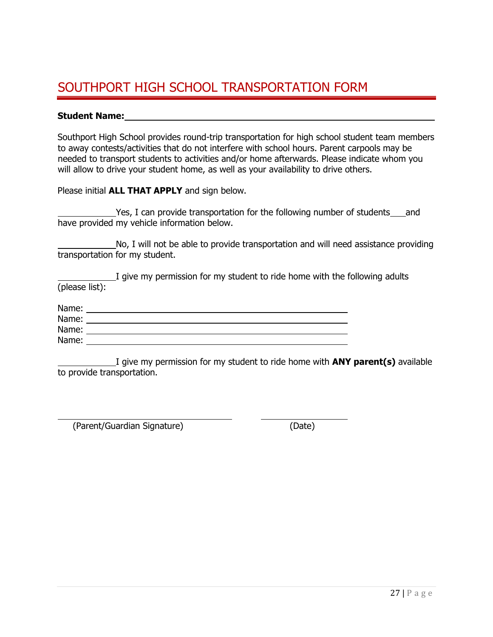## <span id="page-26-0"></span>SOUTHPORT HIGH SCHOOL TRANSPORTATION FORM

#### **Student Name:**

Southport High School provides round-trip transportation for high school student team members to away contests/activities that do not interfere with school hours. Parent carpools may be needed to transport students to activities and/or home afterwards. Please indicate whom you will allow to drive your student home, as well as your availability to drive others.

Please initial **ALL THAT APPLY** and sign below.

Yes, I can provide transportation for the following number of students and have provided my vehicle information below.

 No, I will not be able to provide transportation and will need assistance providing transportation for my student.

 I give my permission for my student to ride home with the following adults (please list):

| Name: |  |
|-------|--|
| Name: |  |
| Name: |  |
| Name: |  |

 I give my permission for my student to ride home with **ANY parent(s)** available to provide transportation.

(Parent/Guardian Signature) (Date)